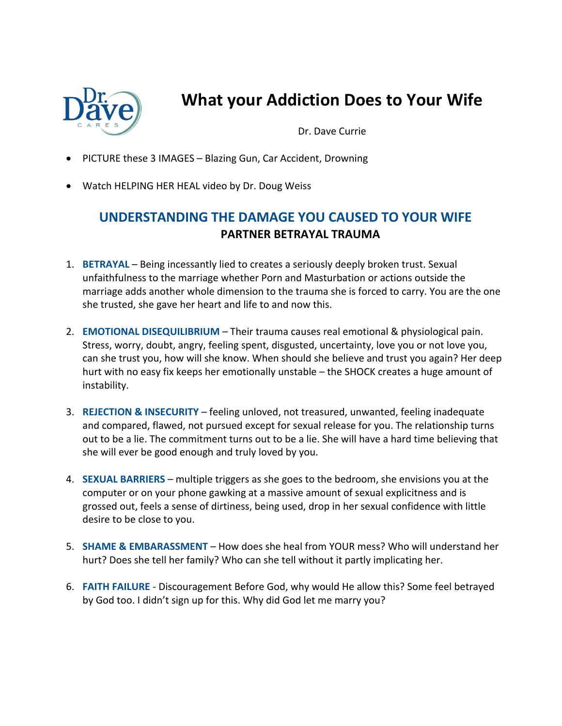

## **What your Addiction Does to Your Wife**

Dr. Dave Currie

- PICTURE these 3 IMAGES Blazing Gun, Car Accident, Drowning
- Watch HELPING HER HEAL video by Dr. Doug Weiss

## **UNDERSTANDING THE DAMAGE YOU CAUSED TO YOUR WIFE PARTNER BETRAYAL TRAUMA**

- 1. **BETRAYAL** Being incessantly lied to creates a seriously deeply broken trust. Sexual unfaithfulness to the marriage whether Porn and Masturbation or actions outside the marriage adds another whole dimension to the trauma she is forced to carry. You are the one she trusted, she gave her heart and life to and now this.
- 2. **EMOTIONAL DISEQUILIBRIUM** Their trauma causes real emotional & physiological pain. Stress, worry, doubt, angry, feeling spent, disgusted, uncertainty, love you or not love you, can she trust you, how will she know. When should she believe and trust you again? Her deep hurt with no easy fix keeps her emotionally unstable – the SHOCK creates a huge amount of instability.
- 3. **REJECTION & INSECURITY** feeling unloved, not treasured, unwanted, feeling inadequate and compared, flawed, not pursued except for sexual release for you. The relationship turns out to be a lie. The commitment turns out to be a lie. She will have a hard time believing that she will ever be good enough and truly loved by you.
- 4. **SEXUAL BARRIERS** multiple triggers as she goes to the bedroom, she envisions you at the computer or on your phone gawking at a massive amount of sexual explicitness and is grossed out, feels a sense of dirtiness, being used, drop in her sexual confidence with little desire to be close to you.
- 5. **SHAME & EMBARASSMENT** How does she heal from YOUR mess? Who will understand her hurt? Does she tell her family? Who can she tell without it partly implicating her.
- 6. **FAITH FAILURE** Discouragement Before God, why would He allow this? Some feel betrayed by God too. I didn't sign up for this. Why did God let me marry you?